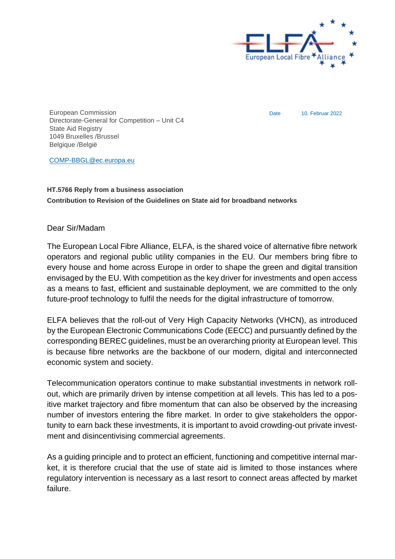

Date 10. Februar 2022

European Commission Directorate-General for Competition – Unit C4 State Aid Registry 1049 Bruxelles /Brussel Belgique /België

[COMP-BBGL@ec.europa.eu](mailto:COMP-BBGL@ec.europa.eu)

#### **HT.5766 Reply from a business association Contribution to Revision of the Guidelines on State aid for broadband networks**

#### Dear Sir/Madam

The European Local Fibre Alliance, ELFA, is the shared voice of alternative fibre network operators and regional public utility companies in the EU. Our members bring fibre to every house and home across Europe in order to shape the green and digital transition envisaged by the EU. With competition as the key driver for investments and open access as a means to fast, efficient and sustainable deployment, we are committed to the only future-proof technology to fulfil the needs for the digital infrastructure of tomorrow.

ELFA believes that the roll-out of Very High Capacity Networks (VHCN), as introduced by the European Electronic Communications Code (EECC) and pursuantly defined by the corresponding BEREC guidelines, must be an overarching priority at European level. This is because fibre networks are the backbone of our modern, digital and interconnected economic system and society.

Telecommunication operators continue to make substantial investments in network rollout, which are primarily driven by intense competition at all levels. This has led to a positive market trajectory and fibre momentum that can also be observed by the increasing number of investors entering the fibre market. In order to give stakeholders the opportunity to earn back these investments, it is important to avoid crowding-out private investment and disincentivising commercial agreements.

As a guiding principle and to protect an efficient, functioning and competitive internal market, it is therefore crucial that the use of state aid is limited to those instances where regulatory intervention is necessary as a last resort to connect areas affected by market failure.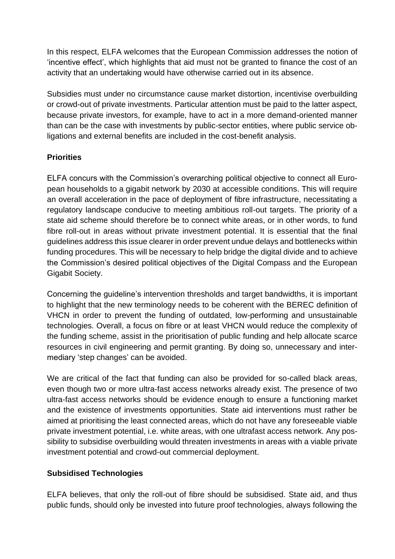In this respect, ELFA welcomes that the European Commission addresses the notion of 'incentive effect', which highlights that aid must not be granted to finance the cost of an activity that an undertaking would have otherwise carried out in its absence.

Subsidies must under no circumstance cause market distortion, incentivise overbuilding or crowd-out of private investments. Particular attention must be paid to the latter aspect, because private investors, for example, have to act in a more demand-oriented manner than can be the case with investments by public-sector entities, where public service obligations and external benefits are included in the cost-benefit analysis.

## **Priorities**

ELFA concurs with the Commission's overarching political objective to connect all European households to a gigabit network by 2030 at accessible conditions. This will require an overall acceleration in the pace of deployment of fibre infrastructure, necessitating a regulatory landscape conducive to meeting ambitious roll-out targets. The priority of a state aid scheme should therefore be to connect white areas, or in other words, to fund fibre roll-out in areas without private investment potential. It is essential that the final guidelines address this issue clearer in order prevent undue delays and bottlenecks within funding procedures. This will be necessary to help bridge the digital divide and to achieve the Commission's desired political objectives of the Digital Compass and the European Gigabit Society.

Concerning the guideline's intervention thresholds and target bandwidths, it is important to highlight that the new terminology needs to be coherent with the BEREC definition of VHCN in order to prevent the funding of outdated, low-performing and unsustainable technologies. Overall, a focus on fibre or at least VHCN would reduce the complexity of the funding scheme, assist in the prioritisation of public funding and help allocate scarce resources in civil engineering and permit granting. By doing so, unnecessary and intermediary 'step changes' can be avoided.

We are critical of the fact that funding can also be provided for so-called black areas, even though two or more ultra-fast access networks already exist. The presence of two ultra-fast access networks should be evidence enough to ensure a functioning market and the existence of investments opportunities. State aid interventions must rather be aimed at prioritising the least connected areas, which do not have any foreseeable viable private investment potential, i.e. white areas, with one ultrafast access network. Any possibility to subsidise overbuilding would threaten investments in areas with a viable private investment potential and crowd-out commercial deployment.

### **Subsidised Technologies**

ELFA believes, that only the roll-out of fibre should be subsidised. State aid, and thus public funds, should only be invested into future proof technologies, always following the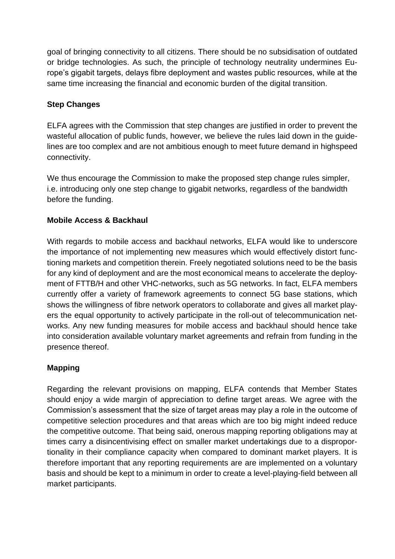goal of bringing connectivity to all citizens. There should be no subsidisation of outdated or bridge technologies. As such, the principle of technology neutrality undermines Europe's gigabit targets, delays fibre deployment and wastes public resources, while at the same time increasing the financial and economic burden of the digital transition.

## **Step Changes**

ELFA agrees with the Commission that step changes are justified in order to prevent the wasteful allocation of public funds, however, we believe the rules laid down in the guidelines are too complex and are not ambitious enough to meet future demand in highspeed connectivity.

We thus encourage the Commission to make the proposed step change rules simpler, i.e. introducing only one step change to gigabit networks, regardless of the bandwidth before the funding.

## **Mobile Access & Backhaul**

With regards to mobile access and backhaul networks, ELFA would like to underscore the importance of not implementing new measures which would effectively distort functioning markets and competition therein. Freely negotiated solutions need to be the basis for any kind of deployment and are the most economical means to accelerate the deployment of FTTB/H and other VHC-networks, such as 5G networks. In fact, ELFA members currently offer a variety of framework agreements to connect 5G base stations, which shows the willingness of fibre network operators to collaborate and gives all market players the equal opportunity to actively participate in the roll-out of telecommunication networks. Any new funding measures for mobile access and backhaul should hence take into consideration available voluntary market agreements and refrain from funding in the presence thereof.

# **Mapping**

Regarding the relevant provisions on mapping, ELFA contends that Member States should enjoy a wide margin of appreciation to define target areas. We agree with the Commission's assessment that the size of target areas may play a role in the outcome of competitive selection procedures and that areas which are too big might indeed reduce the competitive outcome. That being said, onerous mapping reporting obligations may at times carry a disincentivising effect on smaller market undertakings due to a disproportionality in their compliance capacity when compared to dominant market players. It is therefore important that any reporting requirements are are implemented on a voluntary basis and should be kept to a minimum in order to create a level-playing-field between all market participants.